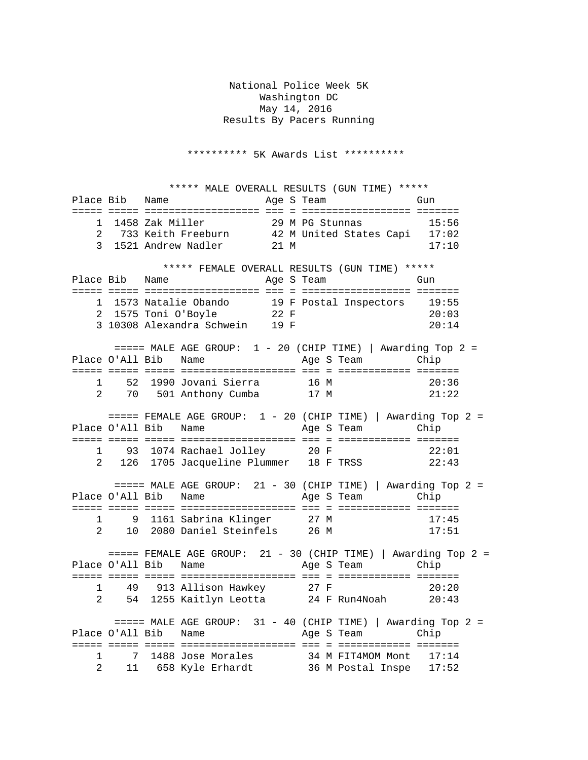National Police Week 5K Washington DC May 14, 2016 Results By Pacers Running

\*\*\*\*\*\*\*\*\*\* 5K Awards List \*\*\*\*\*\*\*\*\*\*

 \*\*\*\*\* MALE OVERALL RESULTS (GUN TIME) \*\*\*\*\* Place Bib Name ===== ===== =================== === = ================== ======= 1 1458 Zak Miller 29 M PG Stunnas 15:56 2 733 Keith Freeburn 42 M United States Capi 17:02 3 1521 Andrew Nadler 21 M 17:10 \*\*\*\*\* FEMALE OVERALL RESULTS (GUN TIME) \*\*\*\*\* Place Bib Name ===== ===== =================== === = ================== ======= 1 1573 Natalie Obando 19 F Postal Inspectors 19:55 2 1575 Toni O'Boyle 22 F 20:03 3 10308 Alexandra Schwein 19 F 20:14 ===== MALE AGE GROUP: 1 - 20 (CHIP TIME) | Awarding Top 2 = Place O'All Bib Name ===== ===== ===== =================== === = ============ ======= 1 52 1990 Jovani Sierra 16 M 20:36 70 501 Anthony Cumba  $====$  FEMALE AGE GROUP:  $1 - 20$  (CHIP TIME) | Awarding Top 2 = Place O'All Bib Name Age S Team Chip ===== ===== ===== =================== === = ============ ======= 1 93 1074 Rachael Jolley 20 F 22:01<br>2 126 1705 Jacqueline Plummer 18 F TRSS 22:43 2 126 1705 Jacqueline Plummer 18 F TRSS  $====$  MALE AGE GROUP: 21 - 30 (CHIP TIME) | Awarding Top 2 = Place O'All Bib Name Age S Team Chip ===== ===== ===== =================== === = ============ ======= 1 9 1161 Sabrina Klinger 27 M 17:45 2 10 2080 Daniel Steinfels 26 M 17:51  $====$  FEMALE AGE GROUP: 21 - 30 (CHIP TIME) | Awarding Top 2 = Place O'All Bib Name Age S Team Chip ===== ===== ===== =================== === = ============ ======= 1 49 913 Allison Hawkey 27 F 20:20 2 54 1255 Kaitlyn Leotta 24 F Run4Noah 20:43 ===== MALE AGE GROUP: 31 - 40 (CHIP TIME) | Awarding Top 2 = Place O'All Bib Name ===== ===== ===== =================== === = ============ ======= 1 7 1488 Jose Morales 34 M FIT4MOM Mont 17:14 2 11 658 Kyle Erhardt 36 M Postal Inspe 17:52